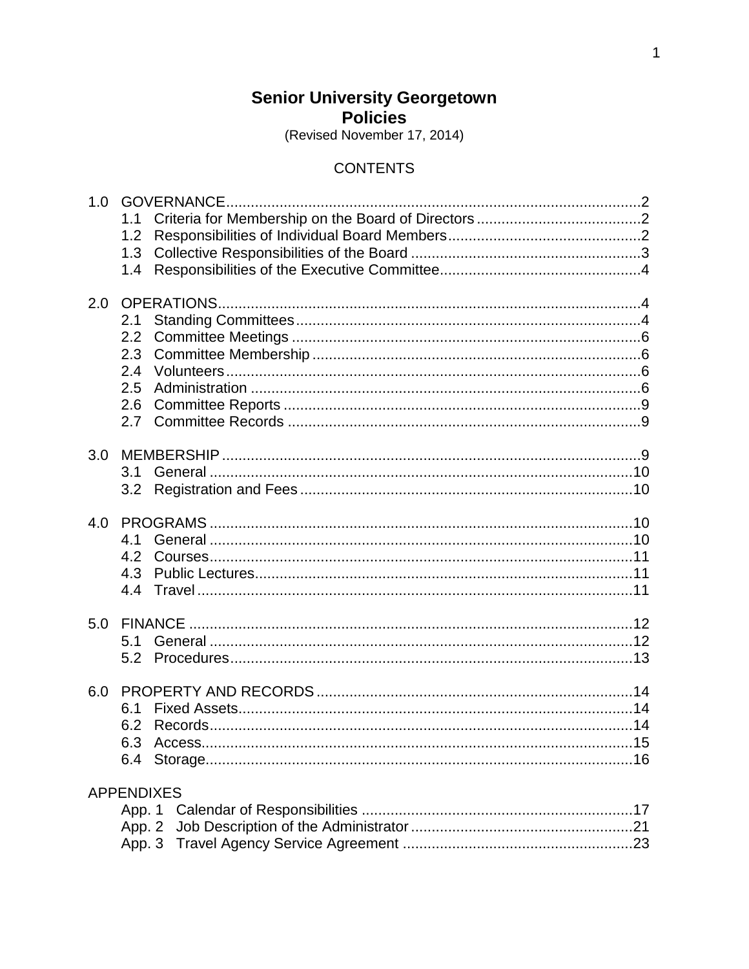# **Senior University Georgetown Policies**

(Revised November 17, 2014)

# **CONTENTS**

| 1.0 |                   |  |
|-----|-------------------|--|
|     | 1.1               |  |
|     | 1.2               |  |
|     | 1.3               |  |
|     | 1.4               |  |
|     |                   |  |
| 2.0 |                   |  |
|     | 2.1               |  |
|     | 2.2               |  |
|     | 2.3               |  |
|     | 2.4               |  |
|     | 2.5               |  |
|     | 2.6               |  |
|     | 2.7               |  |
|     |                   |  |
| 3.0 |                   |  |
|     |                   |  |
|     |                   |  |
|     |                   |  |
| 4.0 |                   |  |
|     | 4.1               |  |
|     | 4.2               |  |
|     | 4.3               |  |
|     | 4.4               |  |
|     |                   |  |
| 5.0 |                   |  |
|     | 5.1               |  |
|     | 5.2               |  |
|     |                   |  |
| 6.0 |                   |  |
|     | 6.1               |  |
|     | 6.2               |  |
|     | 6.3 Access.       |  |
|     |                   |  |
|     |                   |  |
|     | <b>APPENDIXES</b> |  |
|     |                   |  |
|     | App. 2            |  |
|     |                   |  |
|     |                   |  |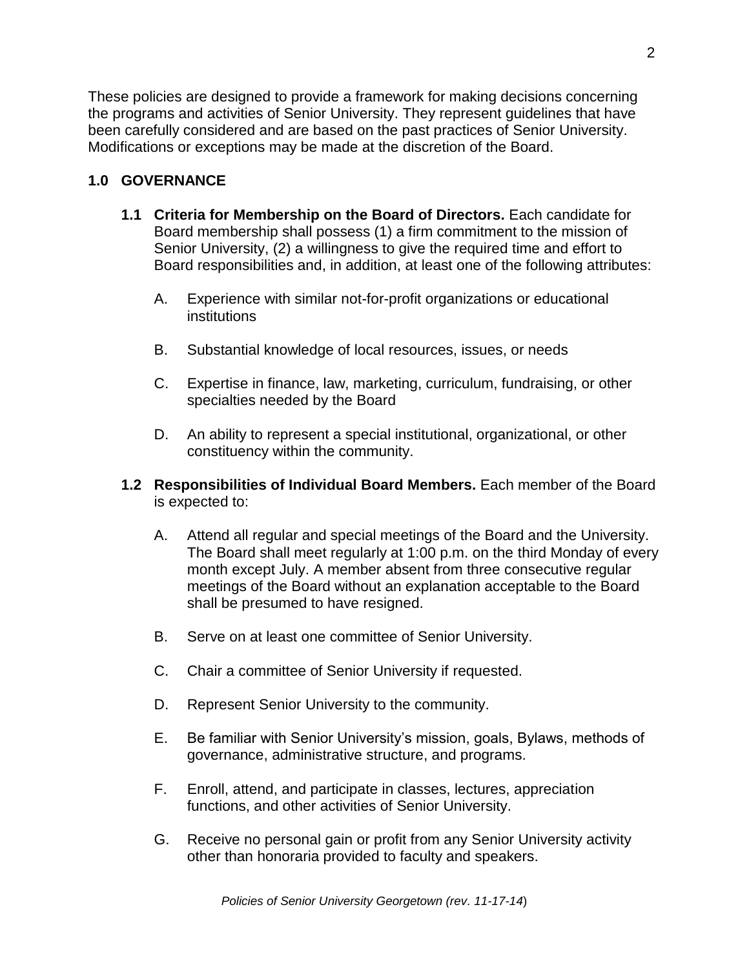These policies are designed to provide a framework for making decisions concerning the programs and activities of Senior University. They represent guidelines that have been carefully considered and are based on the past practices of Senior University. Modifications or exceptions may be made at the discretion of the Board.

#### **1.0 GOVERNANCE**

- **1.1 Criteria for Membership on the Board of Directors.** Each candidate for Board membership shall possess (1) a firm commitment to the mission of Senior University, (2) a willingness to give the required time and effort to Board responsibilities and, in addition, at least one of the following attributes:
	- A. Experience with similar not-for-profit organizations or educational institutions
	- B. Substantial knowledge of local resources, issues, or needs
	- C. Expertise in finance, law, marketing, curriculum, fundraising, or other specialties needed by the Board
	- D. An ability to represent a special institutional, organizational, or other constituency within the community.
- **1.2 Responsibilities of Individual Board Members.** Each member of the Board is expected to:
	- A. Attend all regular and special meetings of the Board and the University. The Board shall meet regularly at 1:00 p.m. on the third Monday of every month except July. A member absent from three consecutive regular meetings of the Board without an explanation acceptable to the Board shall be presumed to have resigned.
	- B. Serve on at least one committee of Senior University.
	- C. Chair a committee of Senior University if requested.
	- D. Represent Senior University to the community.
	- E. Be familiar with Senior University's mission, goals, Bylaws, methods of governance, administrative structure, and programs.
	- F. Enroll, attend, and participate in classes, lectures, appreciation functions, and other activities of Senior University.
	- G. Receive no personal gain or profit from any Senior University activity other than honoraria provided to faculty and speakers.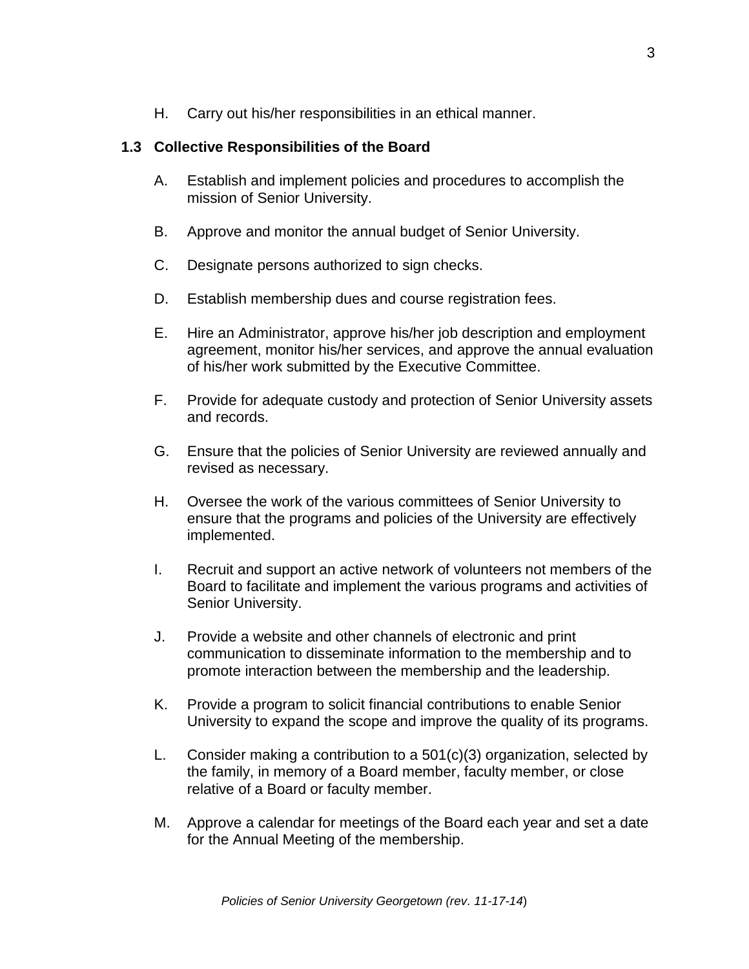H. Carry out his/her responsibilities in an ethical manner.

### **1.3 Collective Responsibilities of the Board**

- A. Establish and implement policies and procedures to accomplish the mission of Senior University.
- B. Approve and monitor the annual budget of Senior University.
- C. Designate persons authorized to sign checks.
- D. Establish membership dues and course registration fees.
- E. Hire an Administrator, approve his/her job description and employment agreement, monitor his/her services, and approve the annual evaluation of his/her work submitted by the Executive Committee.
- F. Provide for adequate custody and protection of Senior University assets and records.
- G. Ensure that the policies of Senior University are reviewed annually and revised as necessary.
- H. Oversee the work of the various committees of Senior University to ensure that the programs and policies of the University are effectively implemented.
- I. Recruit and support an active network of volunteers not members of the Board to facilitate and implement the various programs and activities of Senior University.
- J. Provide a website and other channels of electronic and print communication to disseminate information to the membership and to promote interaction between the membership and the leadership.
- K. Provide a program to solicit financial contributions to enable Senior University to expand the scope and improve the quality of its programs.
- L. Consider making a contribution to a 501(c)(3) organization, selected by the family, in memory of a Board member, faculty member, or close relative of a Board or faculty member.
- M. Approve a calendar for meetings of the Board each year and set a date for the Annual Meeting of the membership.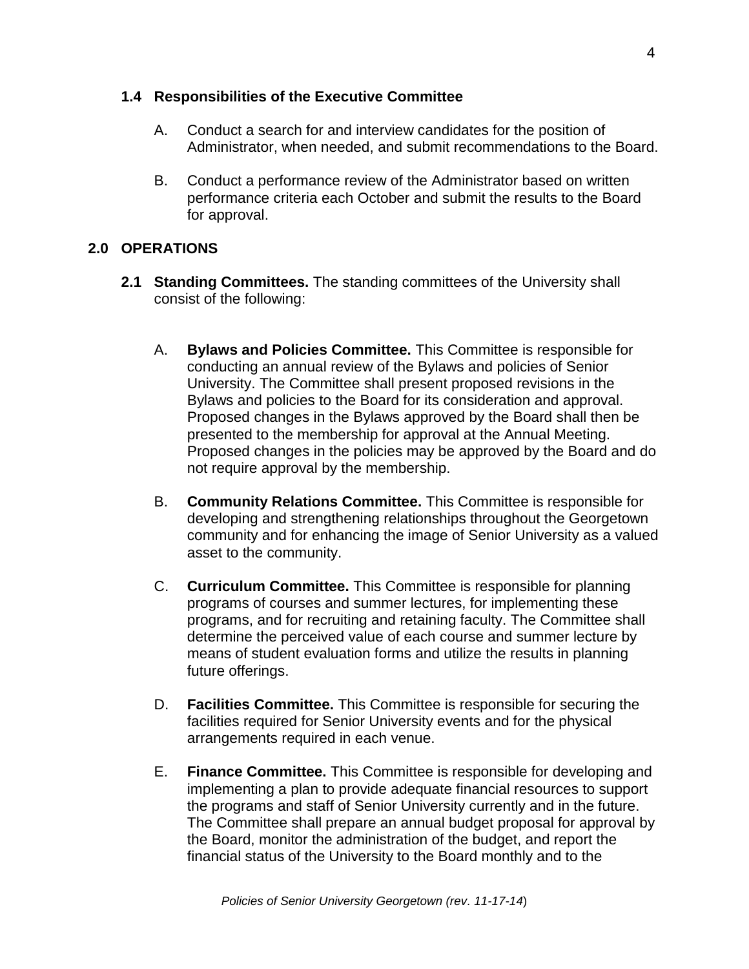#### **1.4 Responsibilities of the Executive Committee**

- A. Conduct a search for and interview candidates for the position of Administrator, when needed, and submit recommendations to the Board.
- B. Conduct a performance review of the Administrator based on written performance criteria each October and submit the results to the Board for approval.

# **2.0 OPERATIONS**

- **2.1 Standing Committees.** The standing committees of the University shall consist of the following:
	- A. **Bylaws and Policies Committee.** This Committee is responsible for conducting an annual review of the Bylaws and policies of Senior University. The Committee shall present proposed revisions in the Bylaws and policies to the Board for its consideration and approval. Proposed changes in the Bylaws approved by the Board shall then be presented to the membership for approval at the Annual Meeting. Proposed changes in the policies may be approved by the Board and do not require approval by the membership.
	- B. **Community Relations Committee.** This Committee is responsible for developing and strengthening relationships throughout the Georgetown community and for enhancing the image of Senior University as a valued asset to the community.
	- C. **Curriculum Committee.** This Committee is responsible for planning programs of courses and summer lectures, for implementing these programs, and for recruiting and retaining faculty. The Committee shall determine the perceived value of each course and summer lecture by means of student evaluation forms and utilize the results in planning future offerings.
	- D. **Facilities Committee.** This Committee is responsible for securing the facilities required for Senior University events and for the physical arrangements required in each venue.
	- E. **Finance Committee.** This Committee is responsible for developing and implementing a plan to provide adequate financial resources to support the programs and staff of Senior University currently and in the future. The Committee shall prepare an annual budget proposal for approval by the Board, monitor the administration of the budget, and report the financial status of the University to the Board monthly and to the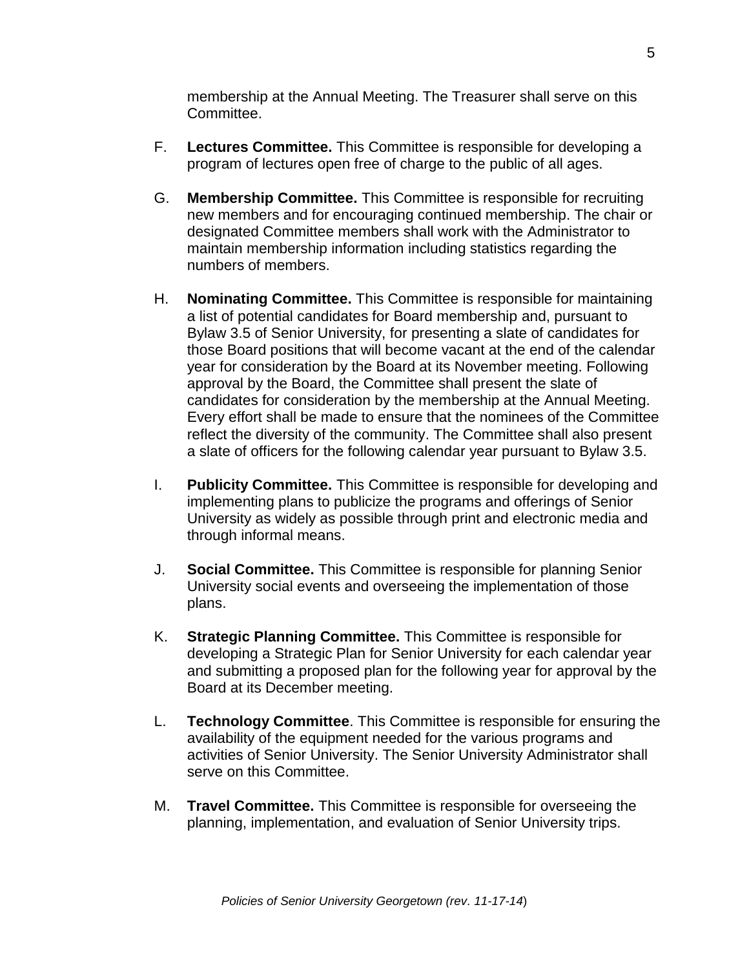membership at the Annual Meeting. The Treasurer shall serve on this Committee.

- F. **Lectures Committee.** This Committee is responsible for developing a program of lectures open free of charge to the public of all ages.
- G. **Membership Committee.** This Committee is responsible for recruiting new members and for encouraging continued membership. The chair or designated Committee members shall work with the Administrator to maintain membership information including statistics regarding the numbers of members.
- H. **Nominating Committee.** This Committee is responsible for maintaining a list of potential candidates for Board membership and, pursuant to Bylaw 3.5 of Senior University, for presenting a slate of candidates for those Board positions that will become vacant at the end of the calendar year for consideration by the Board at its November meeting. Following approval by the Board, the Committee shall present the slate of candidates for consideration by the membership at the Annual Meeting. Every effort shall be made to ensure that the nominees of the Committee reflect the diversity of the community. The Committee shall also present a slate of officers for the following calendar year pursuant to Bylaw 3.5.
- I. **Publicity Committee.** This Committee is responsible for developing and implementing plans to publicize the programs and offerings of Senior University as widely as possible through print and electronic media and through informal means.
- J. **Social Committee.** This Committee is responsible for planning Senior University social events and overseeing the implementation of those plans.
- K. **Strategic Planning Committee.** This Committee is responsible for developing a Strategic Plan for Senior University for each calendar year and submitting a proposed plan for the following year for approval by the Board at its December meeting.
- L. **Technology Committee**. This Committee is responsible for ensuring the availability of the equipment needed for the various programs and activities of Senior University. The Senior University Administrator shall serve on this Committee.
- M. **Travel Committee.** This Committee is responsible for overseeing the planning, implementation, and evaluation of Senior University trips.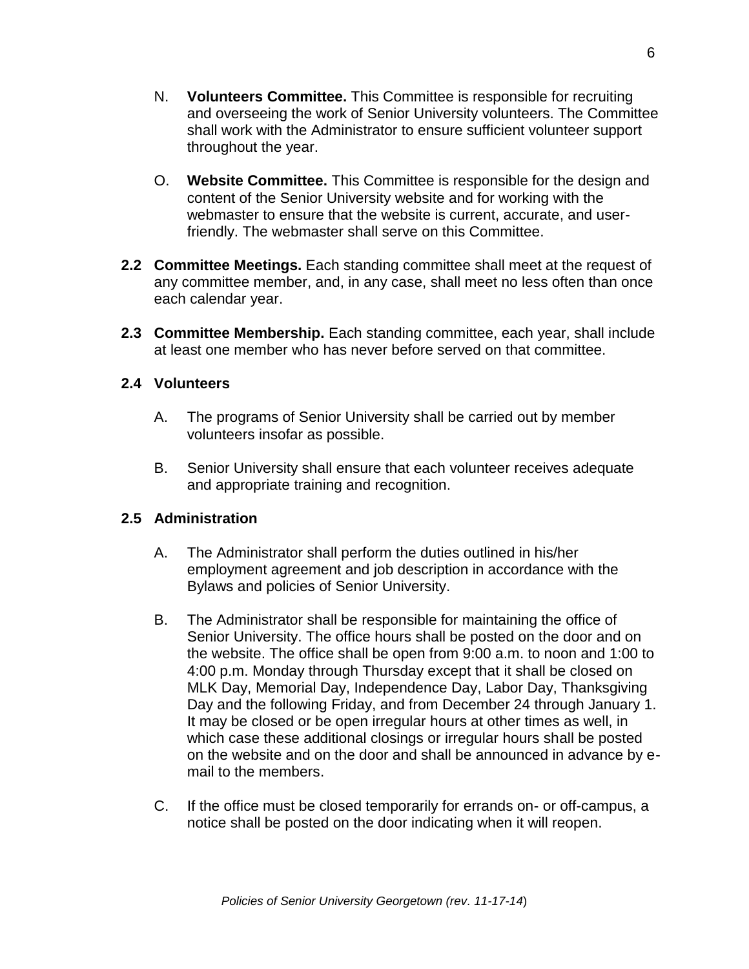- N. **Volunteers Committee.** This Committee is responsible for recruiting and overseeing the work of Senior University volunteers. The Committee shall work with the Administrator to ensure sufficient volunteer support throughout the year.
- O. **Website Committee.** This Committee is responsible for the design and content of the Senior University website and for working with the webmaster to ensure that the website is current, accurate, and userfriendly. The webmaster shall serve on this Committee.
- **2.2 Committee Meetings.** Each standing committee shall meet at the request of any committee member, and, in any case, shall meet no less often than once each calendar year.
- **2.3 Committee Membership.** Each standing committee, each year, shall include at least one member who has never before served on that committee.

### **2.4 Volunteers**

- A. The programs of Senior University shall be carried out by member volunteers insofar as possible.
- B. Senior University shall ensure that each volunteer receives adequate and appropriate training and recognition.

# **2.5 Administration**

- A. The Administrator shall perform the duties outlined in his/her employment agreement and job description in accordance with the Bylaws and policies of Senior University.
- B. The Administrator shall be responsible for maintaining the office of Senior University. The office hours shall be posted on the door and on the website. The office shall be open from 9:00 a.m. to noon and 1:00 to 4:00 p.m. Monday through Thursday except that it shall be closed on MLK Day, Memorial Day, Independence Day, Labor Day, Thanksgiving Day and the following Friday, and from December 24 through January 1. It may be closed or be open irregular hours at other times as well, in which case these additional closings or irregular hours shall be posted on the website and on the door and shall be announced in advance by email to the members.
- C. If the office must be closed temporarily for errands on- or off-campus, a notice shall be posted on the door indicating when it will reopen.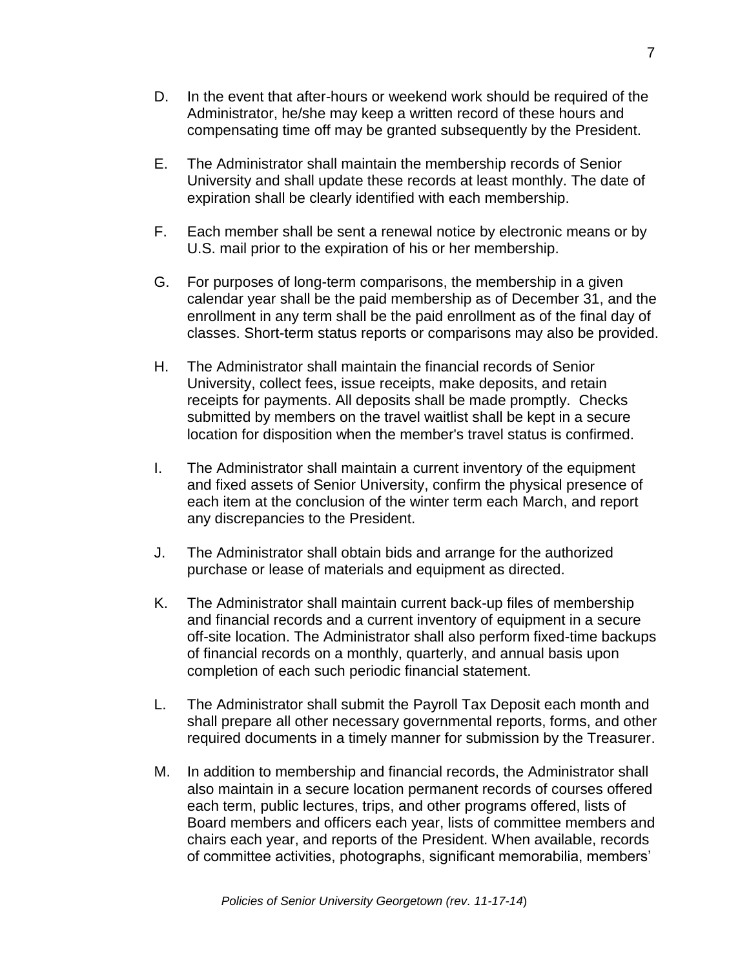- D. In the event that after-hours or weekend work should be required of the Administrator, he/she may keep a written record of these hours and compensating time off may be granted subsequently by the President.
- E. The Administrator shall maintain the membership records of Senior University and shall update these records at least monthly. The date of expiration shall be clearly identified with each membership.
- F. Each member shall be sent a renewal notice by electronic means or by U.S. mail prior to the expiration of his or her membership.
- G. For purposes of long-term comparisons, the membership in a given calendar year shall be the paid membership as of December 31, and the enrollment in any term shall be the paid enrollment as of the final day of classes. Short-term status reports or comparisons may also be provided.
- H. The Administrator shall maintain the financial records of Senior University, collect fees, issue receipts, make deposits, and retain receipts for payments. All deposits shall be made promptly. Checks submitted by members on the travel waitlist shall be kept in a secure location for disposition when the member's travel status is confirmed.
- I. The Administrator shall maintain a current inventory of the equipment and fixed assets of Senior University, confirm the physical presence of each item at the conclusion of the winter term each March, and report any discrepancies to the President.
- J. The Administrator shall obtain bids and arrange for the authorized purchase or lease of materials and equipment as directed.
- K. The Administrator shall maintain current back-up files of membership and financial records and a current inventory of equipment in a secure off-site location. The Administrator shall also perform fixed-time backups of financial records on a monthly, quarterly, and annual basis upon completion of each such periodic financial statement.
- L. The Administrator shall submit the Payroll Tax Deposit each month and shall prepare all other necessary governmental reports, forms, and other required documents in a timely manner for submission by the Treasurer.
- M. In addition to membership and financial records, the Administrator shall also maintain in a secure location permanent records of courses offered each term, public lectures, trips, and other programs offered, lists of Board members and officers each year, lists of committee members and chairs each year, and reports of the President. When available, records of committee activities, photographs, significant memorabilia, members'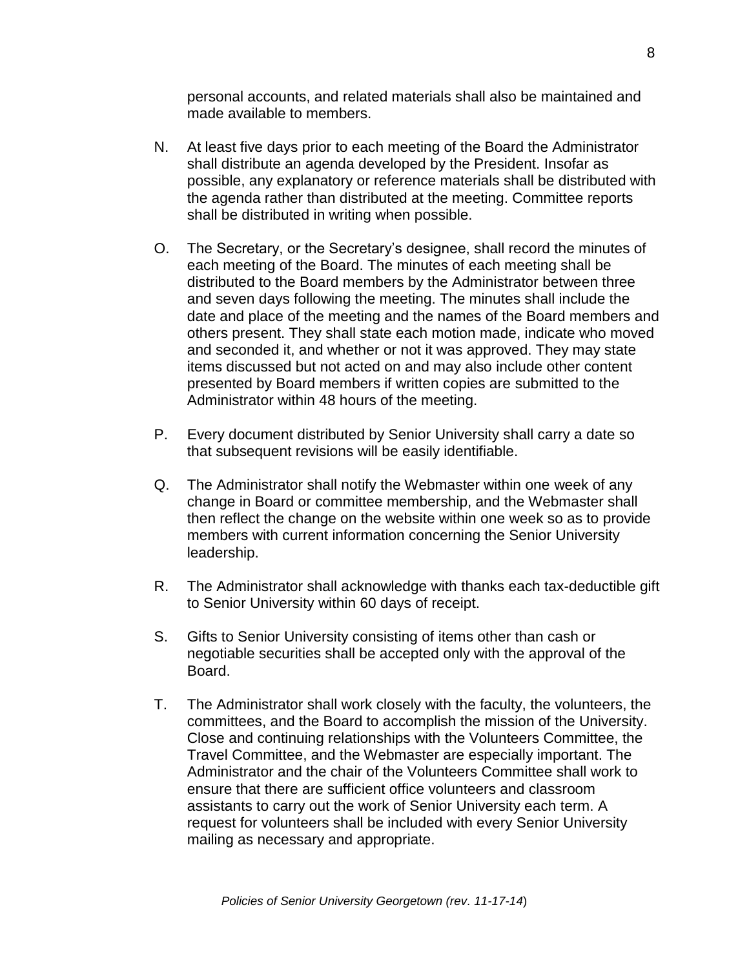personal accounts, and related materials shall also be maintained and made available to members.

- N. At least five days prior to each meeting of the Board the Administrator shall distribute an agenda developed by the President. Insofar as possible, any explanatory or reference materials shall be distributed with the agenda rather than distributed at the meeting. Committee reports shall be distributed in writing when possible.
- O. The Secretary, or the Secretary's designee, shall record the minutes of each meeting of the Board. The minutes of each meeting shall be distributed to the Board members by the Administrator between three and seven days following the meeting. The minutes shall include the date and place of the meeting and the names of the Board members and others present. They shall state each motion made, indicate who moved and seconded it, and whether or not it was approved. They may state items discussed but not acted on and may also include other content presented by Board members if written copies are submitted to the Administrator within 48 hours of the meeting.
- P. Every document distributed by Senior University shall carry a date so that subsequent revisions will be easily identifiable.
- Q. The Administrator shall notify the Webmaster within one week of any change in Board or committee membership, and the Webmaster shall then reflect the change on the website within one week so as to provide members with current information concerning the Senior University leadership.
- R. The Administrator shall acknowledge with thanks each tax-deductible gift to Senior University within 60 days of receipt.
- S. Gifts to Senior University consisting of items other than cash or negotiable securities shall be accepted only with the approval of the Board.
- T. The Administrator shall work closely with the faculty, the volunteers, the committees, and the Board to accomplish the mission of the University. Close and continuing relationships with the Volunteers Committee, the Travel Committee, and the Webmaster are especially important. The Administrator and the chair of the Volunteers Committee shall work to ensure that there are sufficient office volunteers and classroom assistants to carry out the work of Senior University each term. A request for volunteers shall be included with every Senior University mailing as necessary and appropriate.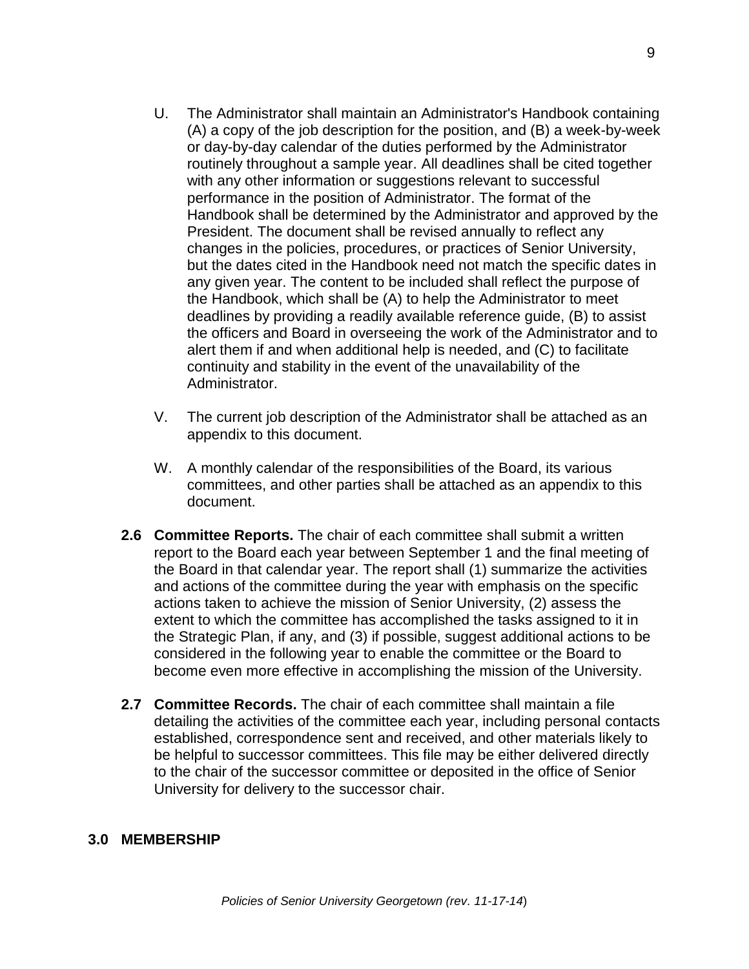- U. The Administrator shall maintain an Administrator's Handbook containing (A) a copy of the job description for the position, and (B) a week-by-week or day-by-day calendar of the duties performed by the Administrator routinely throughout a sample year. All deadlines shall be cited together with any other information or suggestions relevant to successful performance in the position of Administrator. The format of the Handbook shall be determined by the Administrator and approved by the President. The document shall be revised annually to reflect any changes in the policies, procedures, or practices of Senior University, but the dates cited in the Handbook need not match the specific dates in any given year. The content to be included shall reflect the purpose of the Handbook, which shall be (A) to help the Administrator to meet deadlines by providing a readily available reference guide, (B) to assist the officers and Board in overseeing the work of the Administrator and to alert them if and when additional help is needed, and (C) to facilitate continuity and stability in the event of the unavailability of the Administrator.
- V. The current job description of the Administrator shall be attached as an appendix to this document.
- W. A monthly calendar of the responsibilities of the Board, its various committees, and other parties shall be attached as an appendix to this document.
- **2.6 Committee Reports.** The chair of each committee shall submit a written report to the Board each year between September 1 and the final meeting of the Board in that calendar year. The report shall (1) summarize the activities and actions of the committee during the year with emphasis on the specific actions taken to achieve the mission of Senior University, (2) assess the extent to which the committee has accomplished the tasks assigned to it in the Strategic Plan, if any, and (3) if possible, suggest additional actions to be considered in the following year to enable the committee or the Board to become even more effective in accomplishing the mission of the University.
- **2.7 Committee Records.** The chair of each committee shall maintain a file detailing the activities of the committee each year, including personal contacts established, correspondence sent and received, and other materials likely to be helpful to successor committees. This file may be either delivered directly to the chair of the successor committee or deposited in the office of Senior University for delivery to the successor chair.

#### **3.0 MEMBERSHIP**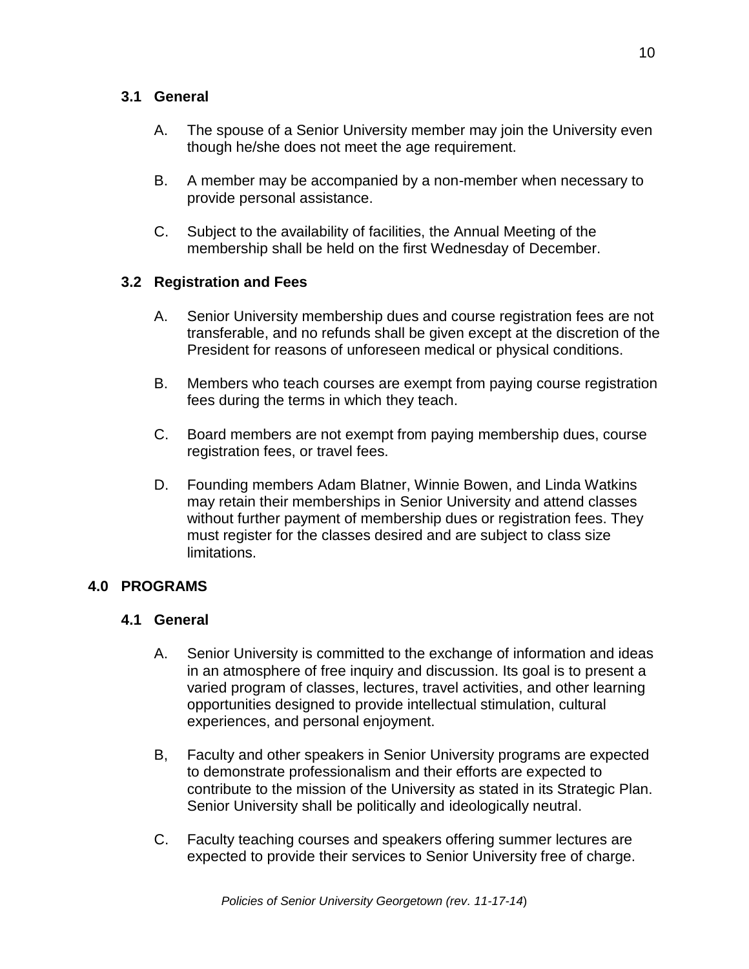### **3.1 General**

- A. The spouse of a Senior University member may join the University even though he/she does not meet the age requirement.
- B. A member may be accompanied by a non-member when necessary to provide personal assistance.
- C. Subject to the availability of facilities, the Annual Meeting of the membership shall be held on the first Wednesday of December.

# **3.2 Registration and Fees**

- A. Senior University membership dues and course registration fees are not transferable, and no refunds shall be given except at the discretion of the President for reasons of unforeseen medical or physical conditions.
- B. Members who teach courses are exempt from paying course registration fees during the terms in which they teach.
- C. Board members are not exempt from paying membership dues, course registration fees, or travel fees.
- D. Founding members Adam Blatner, Winnie Bowen, and Linda Watkins may retain their memberships in Senior University and attend classes without further payment of membership dues or registration fees. They must register for the classes desired and are subject to class size limitations.

# **4.0 PROGRAMS**

# **4.1 General**

- A. Senior University is committed to the exchange of information and ideas in an atmosphere of free inquiry and discussion. Its goal is to present a varied program of classes, lectures, travel activities, and other learning opportunities designed to provide intellectual stimulation, cultural experiences, and personal enjoyment.
- B, Faculty and other speakers in Senior University programs are expected to demonstrate professionalism and their efforts are expected to contribute to the mission of the University as stated in its Strategic Plan. Senior University shall be politically and ideologically neutral.
- C. Faculty teaching courses and speakers offering summer lectures are expected to provide their services to Senior University free of charge.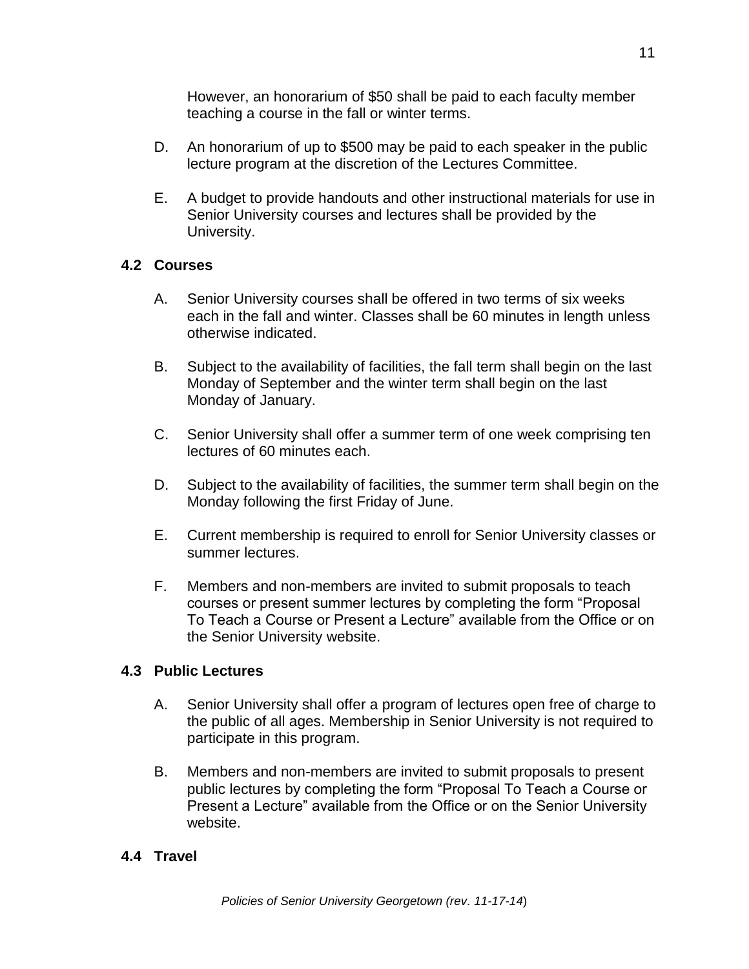However, an honorarium of \$50 shall be paid to each faculty member teaching a course in the fall or winter terms.

- D. An honorarium of up to \$500 may be paid to each speaker in the public lecture program at the discretion of the Lectures Committee.
- E. A budget to provide handouts and other instructional materials for use in Senior University courses and lectures shall be provided by the University.

# **4.2 Courses**

- A. Senior University courses shall be offered in two terms of six weeks each in the fall and winter. Classes shall be 60 minutes in length unless otherwise indicated.
- B. Subject to the availability of facilities, the fall term shall begin on the last Monday of September and the winter term shall begin on the last Monday of January.
- C. Senior University shall offer a summer term of one week comprising ten lectures of 60 minutes each.
- D. Subject to the availability of facilities, the summer term shall begin on the Monday following the first Friday of June.
- E. Current membership is required to enroll for Senior University classes or summer lectures.
- F. Members and non-members are invited to submit proposals to teach courses or present summer lectures by completing the form "Proposal To Teach a Course or Present a Lecture" available from the Office or on the Senior University website.

#### **4.3 Public Lectures**

- A. Senior University shall offer a program of lectures open free of charge to the public of all ages. Membership in Senior University is not required to participate in this program.
- B. Members and non-members are invited to submit proposals to present public lectures by completing the form "Proposal To Teach a Course or Present a Lecture" available from the Office or on the Senior University website.

#### **4.4 Travel**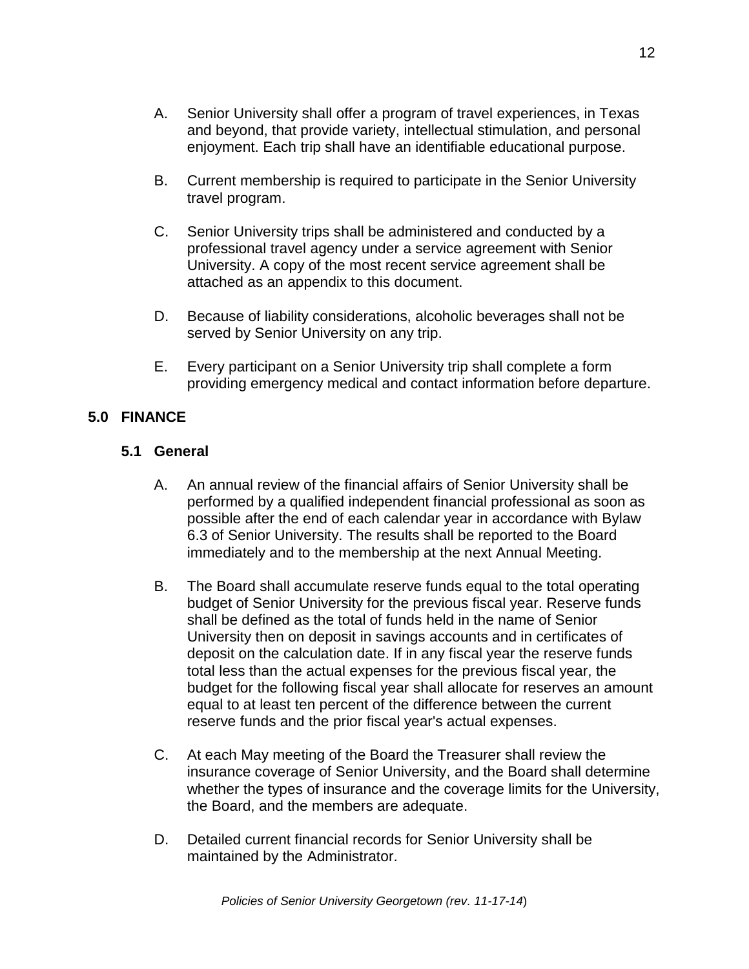- A. Senior University shall offer a program of travel experiences, in Texas and beyond, that provide variety, intellectual stimulation, and personal enjoyment. Each trip shall have an identifiable educational purpose.
- B. Current membership is required to participate in the Senior University travel program.
- C. Senior University trips shall be administered and conducted by a professional travel agency under a service agreement with Senior University. A copy of the most recent service agreement shall be attached as an appendix to this document.
- D. Because of liability considerations, alcoholic beverages shall not be served by Senior University on any trip.
- E. Every participant on a Senior University trip shall complete a form providing emergency medical and contact information before departure.

### **5.0 FINANCE**

#### **5.1 General**

- A. An annual review of the financial affairs of Senior University shall be performed by a qualified independent financial professional as soon as possible after the end of each calendar year in accordance with Bylaw 6.3 of Senior University. The results shall be reported to the Board immediately and to the membership at the next Annual Meeting.
- B. The Board shall accumulate reserve funds equal to the total operating budget of Senior University for the previous fiscal year. Reserve funds shall be defined as the total of funds held in the name of Senior University then on deposit in savings accounts and in certificates of deposit on the calculation date. If in any fiscal year the reserve funds total less than the actual expenses for the previous fiscal year, the budget for the following fiscal year shall allocate for reserves an amount equal to at least ten percent of the difference between the current reserve funds and the prior fiscal year's actual expenses.
- C. At each May meeting of the Board the Treasurer shall review the insurance coverage of Senior University, and the Board shall determine whether the types of insurance and the coverage limits for the University, the Board, and the members are adequate.
- D. Detailed current financial records for Senior University shall be maintained by the Administrator.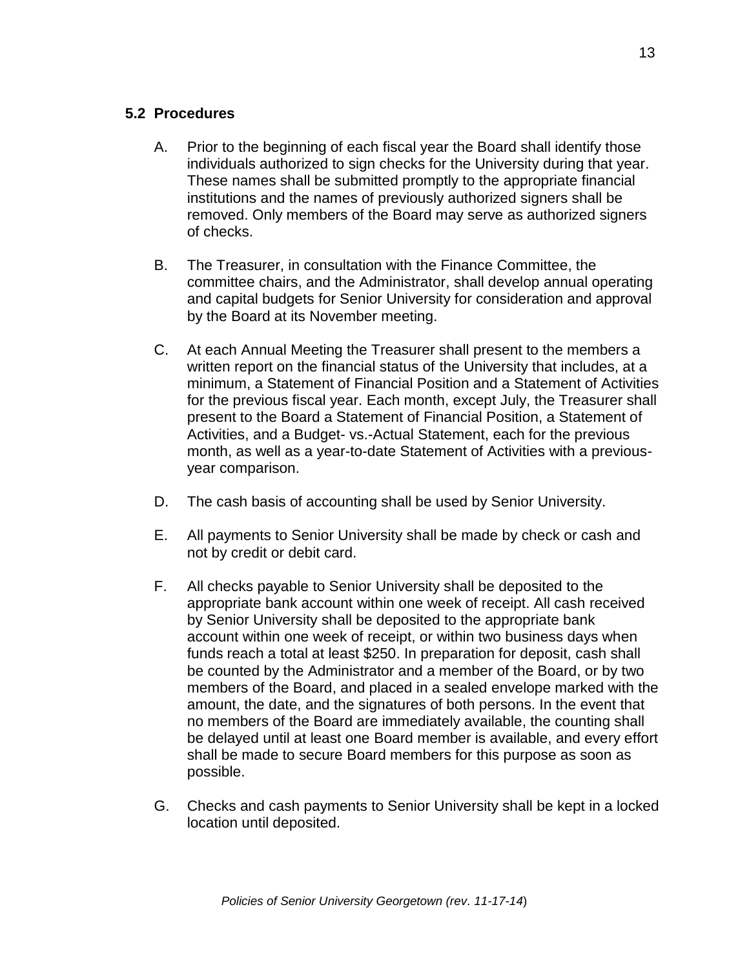- A. Prior to the beginning of each fiscal year the Board shall identify those individuals authorized to sign checks for the University during that year. These names shall be submitted promptly to the appropriate financial institutions and the names of previously authorized signers shall be removed. Only members of the Board may serve as authorized signers of checks.
- B. The Treasurer, in consultation with the Finance Committee, the committee chairs, and the Administrator, shall develop annual operating and capital budgets for Senior University for consideration and approval by the Board at its November meeting.
- C. At each Annual Meeting the Treasurer shall present to the members a written report on the financial status of the University that includes, at a minimum, a Statement of Financial Position and a Statement of Activities for the previous fiscal year. Each month, except July, the Treasurer shall present to the Board a Statement of Financial Position, a Statement of Activities, and a Budget- vs.-Actual Statement, each for the previous month, as well as a year-to-date Statement of Activities with a previousyear comparison.
- D. The cash basis of accounting shall be used by Senior University.
- E. All payments to Senior University shall be made by check or cash and not by credit or debit card.
- F. All checks payable to Senior University shall be deposited to the appropriate bank account within one week of receipt. All cash received by Senior University shall be deposited to the appropriate bank account within one week of receipt, or within two business days when funds reach a total at least \$250. In preparation for deposit, cash shall be counted by the Administrator and a member of the Board, or by two members of the Board, and placed in a sealed envelope marked with the amount, the date, and the signatures of both persons. In the event that no members of the Board are immediately available, the counting shall be delayed until at least one Board member is available, and every effort shall be made to secure Board members for this purpose as soon as possible.
- G. Checks and cash payments to Senior University shall be kept in a locked location until deposited.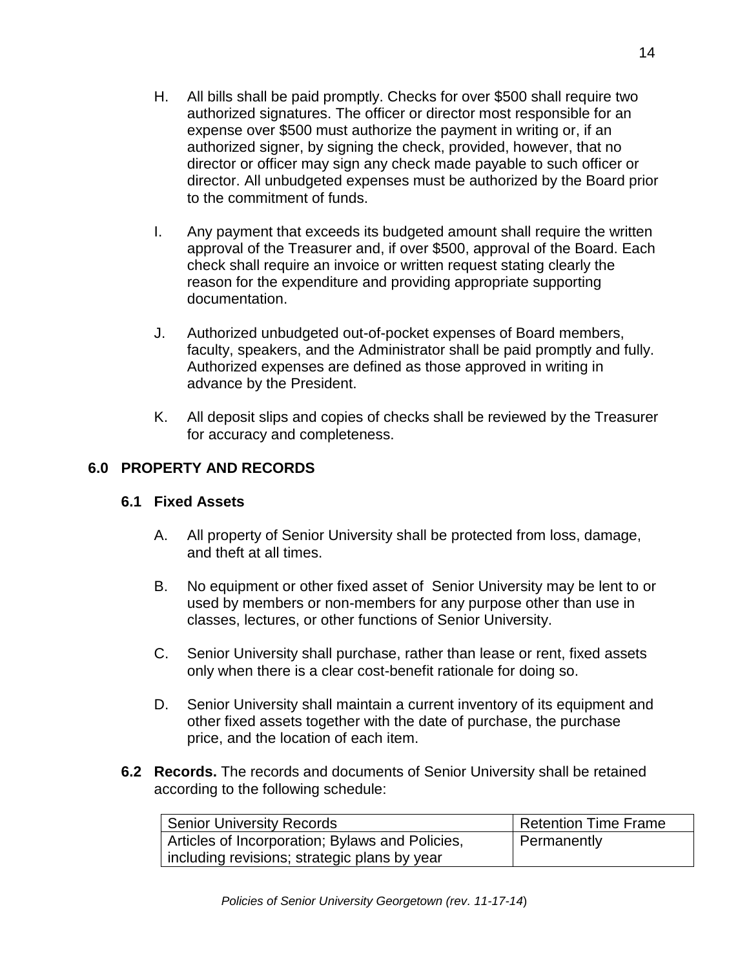- H. All bills shall be paid promptly. Checks for over \$500 shall require two authorized signatures. The officer or director most responsible for an expense over \$500 must authorize the payment in writing or, if an authorized signer, by signing the check, provided, however, that no director or officer may sign any check made payable to such officer or director. All unbudgeted expenses must be authorized by the Board prior to the commitment of funds.
- I. Any payment that exceeds its budgeted amount shall require the written approval of the Treasurer and, if over \$500, approval of the Board. Each check shall require an invoice or written request stating clearly the reason for the expenditure and providing appropriate supporting documentation.
- J. Authorized unbudgeted out-of-pocket expenses of Board members, faculty, speakers, and the Administrator shall be paid promptly and fully. Authorized expenses are defined as those approved in writing in advance by the President.
- K. All deposit slips and copies of checks shall be reviewed by the Treasurer for accuracy and completeness.

# **6.0 PROPERTY AND RECORDS**

# **6.1 Fixed Assets**

- A. All property of Senior University shall be protected from loss, damage, and theft at all times.
- B. No equipment or other fixed asset of Senior University may be lent to or used by members or non-members for any purpose other than use in classes, lectures, or other functions of Senior University.
- C. Senior University shall purchase, rather than lease or rent, fixed assets only when there is a clear cost-benefit rationale for doing so.
- D. Senior University shall maintain a current inventory of its equipment and other fixed assets together with the date of purchase, the purchase price, and the location of each item.
- **6.2 Records.** The records and documents of Senior University shall be retained according to the following schedule:

| <b>Senior University Records</b>                | Retention Time Frame |
|-------------------------------------------------|----------------------|
| Articles of Incorporation; Bylaws and Policies, | Permanently          |
| including revisions; strategic plans by year    |                      |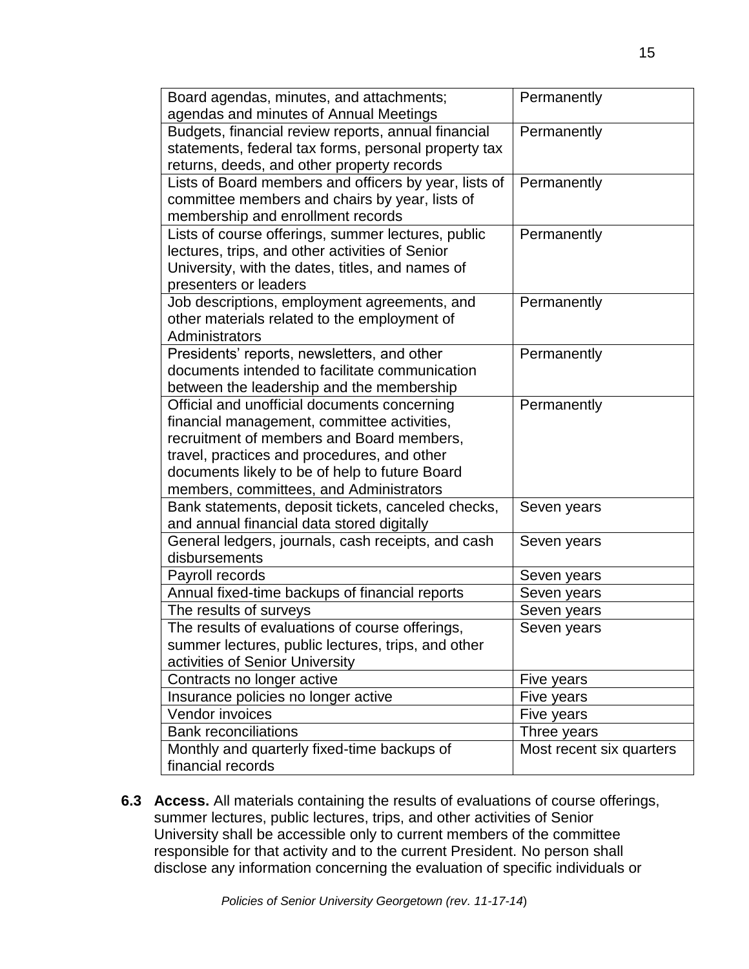| Board agendas, minutes, and attachments;                                                      | Permanently              |
|-----------------------------------------------------------------------------------------------|--------------------------|
| agendas and minutes of Annual Meetings                                                        |                          |
| Budgets, financial review reports, annual financial                                           | Permanently              |
| statements, federal tax forms, personal property tax                                          |                          |
| returns, deeds, and other property records                                                    |                          |
| Lists of Board members and officers by year, lists of                                         | Permanently              |
| committee members and chairs by year, lists of                                                |                          |
| membership and enrollment records                                                             |                          |
| Lists of course offerings, summer lectures, public                                            | Permanently              |
| lectures, trips, and other activities of Senior                                               |                          |
| University, with the dates, titles, and names of                                              |                          |
| presenters or leaders                                                                         |                          |
| Job descriptions, employment agreements, and                                                  | Permanently              |
| other materials related to the employment of                                                  |                          |
| Administrators                                                                                |                          |
| Presidents' reports, newsletters, and other<br>documents intended to facilitate communication | Permanently              |
|                                                                                               |                          |
| between the leadership and the membership                                                     |                          |
| Official and unofficial documents concerning                                                  | Permanently              |
| financial management, committee activities,<br>recruitment of members and Board members,      |                          |
|                                                                                               |                          |
| travel, practices and procedures, and other<br>documents likely to be of help to future Board |                          |
| members, committees, and Administrators                                                       |                          |
| Bank statements, deposit tickets, canceled checks,                                            | Seven years              |
| and annual financial data stored digitally                                                    |                          |
| General ledgers, journals, cash receipts, and cash                                            | Seven years              |
| disbursements                                                                                 |                          |
| Payroll records                                                                               | Seven years              |
| Annual fixed-time backups of financial reports                                                | Seven years              |
| The results of surveys                                                                        | Seven years              |
| The results of evaluations of course offerings,                                               | Seven years              |
| summer lectures, public lectures, trips, and other                                            |                          |
| activities of Senior University                                                               |                          |
| Contracts no longer active                                                                    | Five years               |
| Insurance policies no longer active                                                           | Five years               |
| Vendor invoices                                                                               | Five years               |
| <b>Bank reconciliations</b>                                                                   | Three years              |
| Monthly and quarterly fixed-time backups of                                                   | Most recent six quarters |
| financial records                                                                             |                          |

**6.3 Access.** All materials containing the results of evaluations of course offerings, summer lectures, public lectures, trips, and other activities of Senior University shall be accessible only to current members of the committee responsible for that activity and to the current President. No person shall disclose any information concerning the evaluation of specific individuals or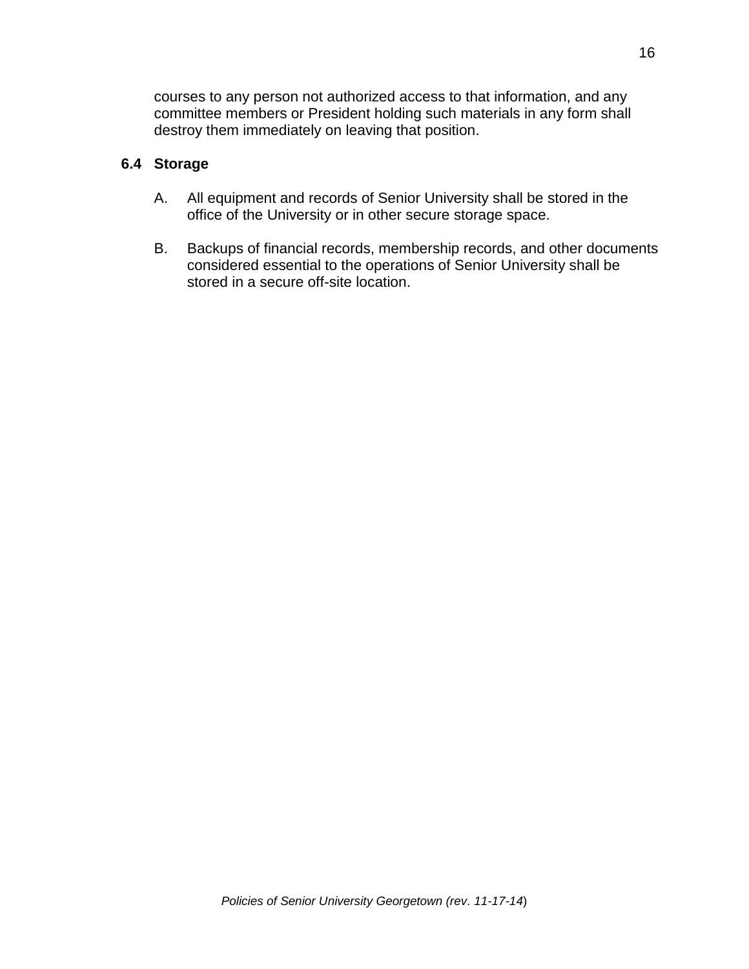courses to any person not authorized access to that information, and any committee members or President holding such materials in any form shall destroy them immediately on leaving that position.

#### **6.4 Storage**

- A. All equipment and records of Senior University shall be stored in the office of the University or in other secure storage space.
- B. Backups of financial records, membership records, and other documents considered essential to the operations of Senior University shall be stored in a secure off-site location.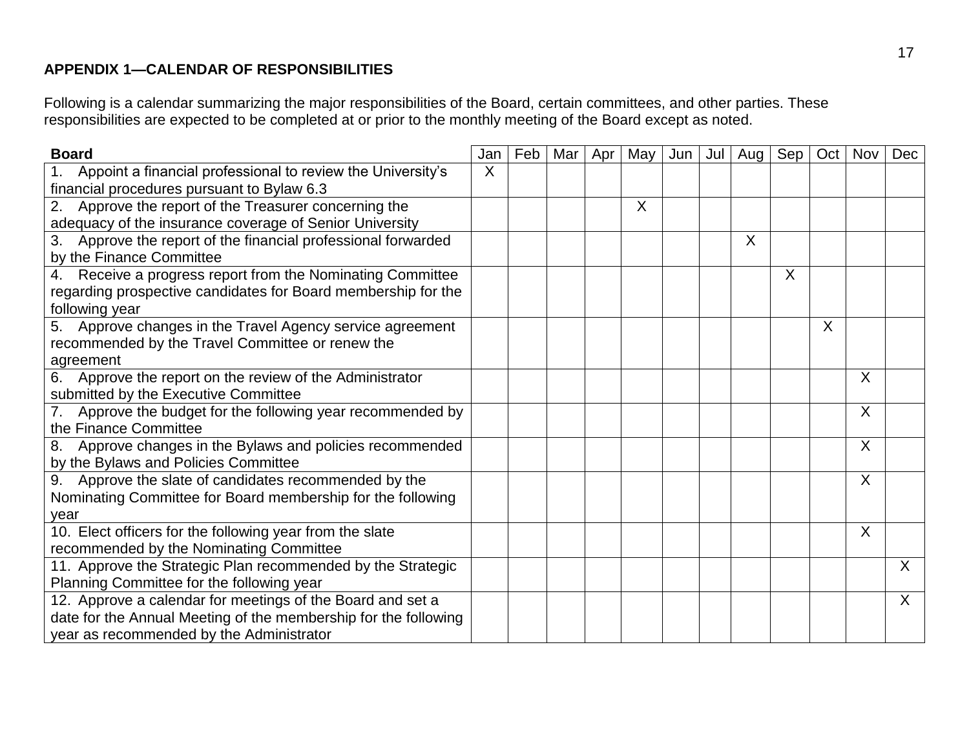# **APPENDIX 1—CALENDAR OF RESPONSIBILITIES**

Following is a calendar summarizing the major responsibilities of the Board, certain committees, and other parties. These responsibilities are expected to be completed at or prior to the monthly meeting of the Board except as noted.

| <b>Board</b>                                                                  | Jan | Feb | Mar I | Apr | May     | Jun | Jul | Aug | Sep | Oct | <b>Nov</b> | Dec     |
|-------------------------------------------------------------------------------|-----|-----|-------|-----|---------|-----|-----|-----|-----|-----|------------|---------|
| Appoint a financial professional to review the University's<br>1 <sub>1</sub> | X   |     |       |     |         |     |     |     |     |     |            |         |
| financial procedures pursuant to Bylaw 6.3                                    |     |     |       |     |         |     |     |     |     |     |            |         |
| 2. Approve the report of the Treasurer concerning the                         |     |     |       |     | $\sf X$ |     |     |     |     |     |            |         |
| adequacy of the insurance coverage of Senior University                       |     |     |       |     |         |     |     |     |     |     |            |         |
| 3. Approve the report of the financial professional forwarded                 |     |     |       |     |         |     |     | X   |     |     |            |         |
| by the Finance Committee                                                      |     |     |       |     |         |     |     |     |     |     |            |         |
| 4. Receive a progress report from the Nominating Committee                    |     |     |       |     |         |     |     |     | X   |     |            |         |
| regarding prospective candidates for Board membership for the                 |     |     |       |     |         |     |     |     |     |     |            |         |
| following year                                                                |     |     |       |     |         |     |     |     |     |     |            |         |
| 5. Approve changes in the Travel Agency service agreement                     |     |     |       |     |         |     |     |     |     | X   |            |         |
| recommended by the Travel Committee or renew the                              |     |     |       |     |         |     |     |     |     |     |            |         |
| agreement                                                                     |     |     |       |     |         |     |     |     |     |     |            |         |
| 6. Approve the report on the review of the Administrator                      |     |     |       |     |         |     |     |     |     |     | X          |         |
| submitted by the Executive Committee                                          |     |     |       |     |         |     |     |     |     |     |            |         |
| Approve the budget for the following year recommended by<br>7.                |     |     |       |     |         |     |     |     |     |     | X          |         |
| the Finance Committee                                                         |     |     |       |     |         |     |     |     |     |     |            |         |
| Approve changes in the Bylaws and policies recommended<br>8.                  |     |     |       |     |         |     |     |     |     |     | $\sf X$    |         |
| by the Bylaws and Policies Committee                                          |     |     |       |     |         |     |     |     |     |     |            |         |
| 9. Approve the slate of candidates recommended by the                         |     |     |       |     |         |     |     |     |     |     | $\sf X$    |         |
| Nominating Committee for Board membership for the following                   |     |     |       |     |         |     |     |     |     |     |            |         |
| year                                                                          |     |     |       |     |         |     |     |     |     |     |            |         |
| 10. Elect officers for the following year from the slate                      |     |     |       |     |         |     |     |     |     |     | X          |         |
| recommended by the Nominating Committee                                       |     |     |       |     |         |     |     |     |     |     |            |         |
| 11. Approve the Strategic Plan recommended by the Strategic                   |     |     |       |     |         |     |     |     |     |     |            | X       |
| Planning Committee for the following year                                     |     |     |       |     |         |     |     |     |     |     |            |         |
| 12. Approve a calendar for meetings of the Board and set a                    |     |     |       |     |         |     |     |     |     |     |            | $\sf X$ |
| date for the Annual Meeting of the membership for the following               |     |     |       |     |         |     |     |     |     |     |            |         |
| year as recommended by the Administrator                                      |     |     |       |     |         |     |     |     |     |     |            |         |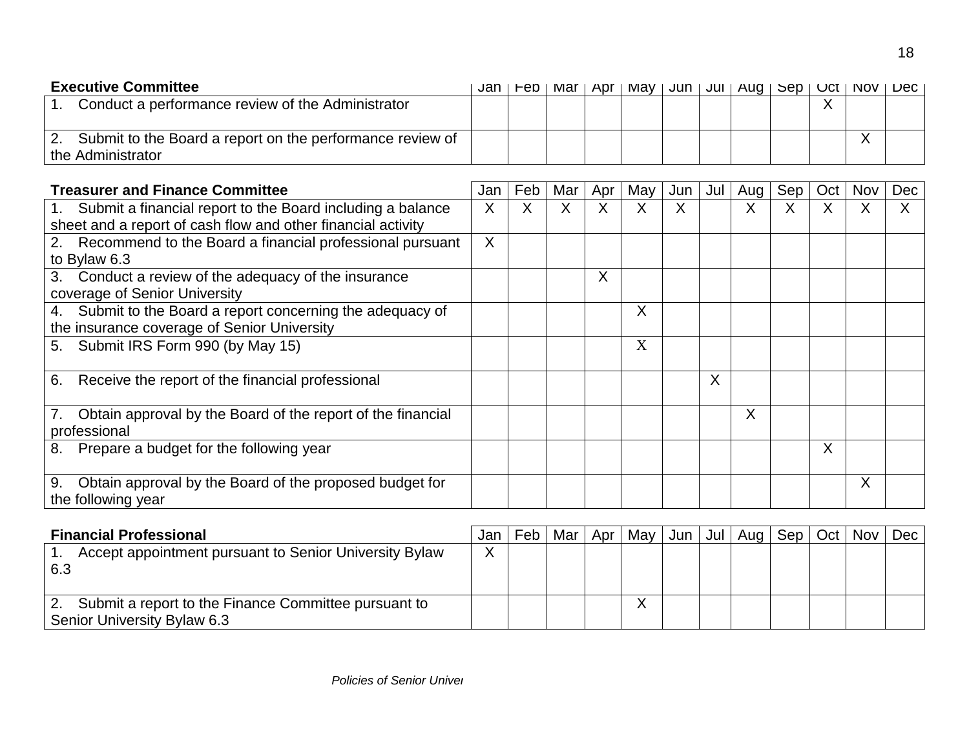| <b>Executive Committee</b>                                      | Jan. | rep | lviar i | Apr I May |  | $ $ Jun $ $ Jul $ $ Aug $ $ | <b>SED</b> I | UCT   NOV | Dec l |
|-----------------------------------------------------------------|------|-----|---------|-----------|--|-----------------------------|--------------|-----------|-------|
| Conduct a performance review of the Administrator               |      |     |         |           |  |                             |              |           |       |
|                                                                 |      |     |         |           |  |                             |              |           |       |
| Submit to the Board a report on the performance review of<br>2. |      |     |         |           |  |                             |              |           |       |
| the Administrator                                               |      |     |         |           |  |                             |              |           |       |

| <b>Treasurer and Finance Committee</b>                                                                                        | Jan     | Feb | Mar | Apr | May | Jun | Jul     | Aug | Sep | Oct | Nov | Dec |
|-------------------------------------------------------------------------------------------------------------------------------|---------|-----|-----|-----|-----|-----|---------|-----|-----|-----|-----|-----|
| 1. Submit a financial report to the Board including a balance<br>sheet and a report of cash flow and other financial activity | X       |     | X   | X   | X   | X   |         | X   | Χ   | X   | Χ   |     |
| 2. Recommend to the Board a financial professional pursuant<br>to Bylaw 6.3                                                   | $\sf X$ |     |     |     |     |     |         |     |     |     |     |     |
| 3. Conduct a review of the adequacy of the insurance<br>coverage of Senior University                                         |         |     |     | X   |     |     |         |     |     |     |     |     |
| 4. Submit to the Board a report concerning the adequacy of<br>the insurance coverage of Senior University                     |         |     |     |     | X   |     |         |     |     |     |     |     |
| 5. Submit IRS Form 990 (by May 15)                                                                                            |         |     |     |     | X   |     |         |     |     |     |     |     |
| Receive the report of the financial professional<br>6.                                                                        |         |     |     |     |     |     | $\sf X$ |     |     |     |     |     |
| Obtain approval by the Board of the report of the financial<br>7.<br>professional                                             |         |     |     |     |     |     |         | X   |     |     |     |     |
| Prepare a budget for the following year<br>8.                                                                                 |         |     |     |     |     |     |         |     |     | X   |     |     |
| Obtain approval by the Board of the proposed budget for<br>9.<br>the following year                                           |         |     |     |     |     |     |         |     |     |     | Χ   |     |

| <b>Financial Professional</b>                              | Jan          | Feb | Mar | Apr $\vert$ | Mav | $Jun$ $Jul$ | Aug | Sep   Oct   Nov |  | Dec |
|------------------------------------------------------------|--------------|-----|-----|-------------|-----|-------------|-----|-----------------|--|-----|
| Accept appointment pursuant to Senior University Bylaw     | $\checkmark$ |     |     |             |     |             |     |                 |  |     |
| 6.3                                                        |              |     |     |             |     |             |     |                 |  |     |
|                                                            |              |     |     |             |     |             |     |                 |  |     |
| Submit a report to the Finance Committee pursuant to<br>2. |              |     |     |             |     |             |     |                 |  |     |
| Senior University Bylaw 6.3                                |              |     |     |             |     |             |     |                 |  |     |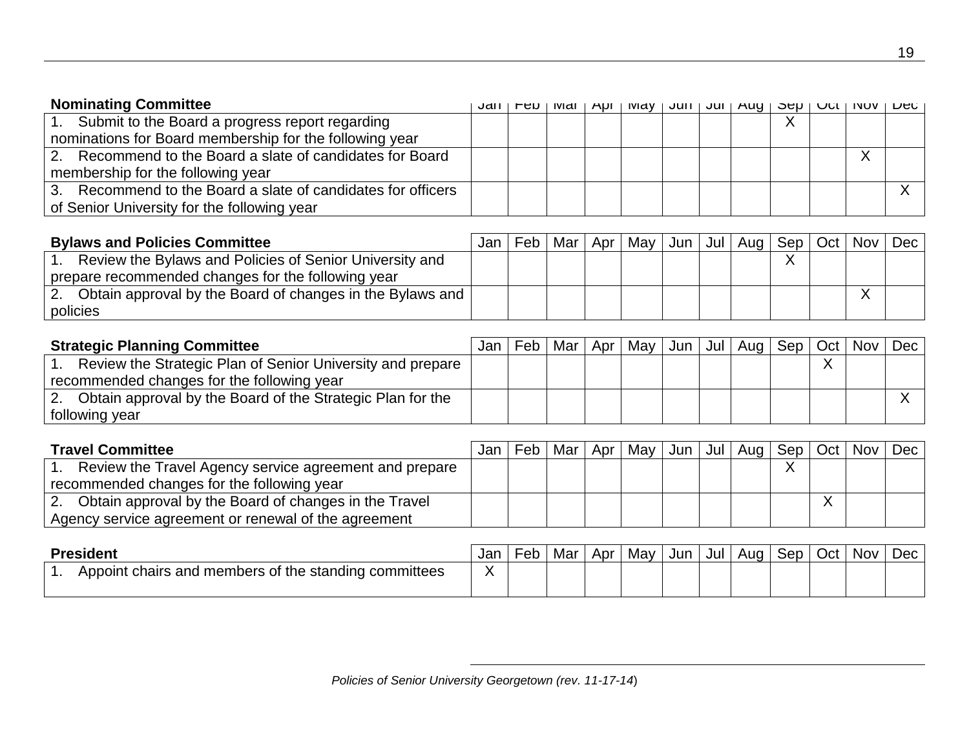| <b>Nominating Committee</b>                                  | Jall | -60 | IVIdI I | $API$   $IVI$ | l Juli I | JUI   AUY | l aeh l | <b>UGLI INUV</b> | <b>LUCU</b> |
|--------------------------------------------------------------|------|-----|---------|---------------|----------|-----------|---------|------------------|-------------|
| 1. Submit to the Board a progress report regarding           |      |     |         |               |          |           |         |                  |             |
| nominations for Board membership for the following year      |      |     |         |               |          |           |         |                  |             |
| 2. Recommend to the Board a slate of candidates for Board    |      |     |         |               |          |           |         |                  |             |
| membership for the following year                            |      |     |         |               |          |           |         |                  |             |
| 3. Recommend to the Board a slate of candidates for officers |      |     |         |               |          |           |         |                  |             |
| of Senior University for the following year                  |      |     |         |               |          |           |         |                  |             |

| <b>Bylaws and Policies Committee</b>                            | Jan | Feb | Mar I | Apr | May l |  | Jun   Jul   Aug | Sep   Oct   Nov |  | $Dec \mid$ |
|-----------------------------------------------------------------|-----|-----|-------|-----|-------|--|-----------------|-----------------|--|------------|
| Review the Bylaws and Policies of Senior University and         |     |     |       |     |       |  |                 |                 |  |            |
| prepare recommended changes for the following year              |     |     |       |     |       |  |                 |                 |  |            |
| Obtain approval by the Board of changes in the Bylaws and<br>2. |     |     |       |     |       |  |                 |                 |  |            |
| policies                                                        |     |     |       |     |       |  |                 |                 |  |            |

| <b>Strategic Planning Committee</b>                        | Jan | Feb | Mar | Apr   May |  | $ $ Jun $ $ Jul $ $ Aug $ $ Sep $ $ Oct $ $ | Nov | Dec |
|------------------------------------------------------------|-----|-----|-----|-----------|--|---------------------------------------------|-----|-----|
| Review the Strategic Plan of Senior University and prepare |     |     |     |           |  |                                             |     |     |
| recommended changes for the following year                 |     |     |     |           |  |                                             |     |     |
| Obtain approval by the Board of the Strategic Plan for the |     |     |     |           |  |                                             |     |     |
| following year                                             |     |     |     |           |  |                                             |     |     |

| <b>Travel Committee</b>                                                 | Jan | Feb | Mar | Apr   May   Jun   Jul   Aug   Sep   Oct |  |  | Nov Dec |  |
|-------------------------------------------------------------------------|-----|-----|-----|-----------------------------------------|--|--|---------|--|
| Review the Travel Agency service agreement and prepare                  |     |     |     |                                         |  |  |         |  |
| recommended changes for the following year                              |     |     |     |                                         |  |  |         |  |
| Obtain approval by the Board of changes in the Travel<br>$^{\prime}$ 2. |     |     |     |                                         |  |  |         |  |
| Agency service agreement or renewal of the agreement                    |     |     |     |                                         |  |  |         |  |

| ident                                                               | Jan | -eb | Mar | Apr | Mav | Jun | Jul | Aua<br>. . | Sep | Oct | Nov | Dec |
|---------------------------------------------------------------------|-----|-----|-----|-----|-----|-----|-----|------------|-----|-----|-----|-----|
| I members of the standing of<br>committees<br>Appoint<br>chairs and |     |     |     |     |     |     |     |            |     |     |     |     |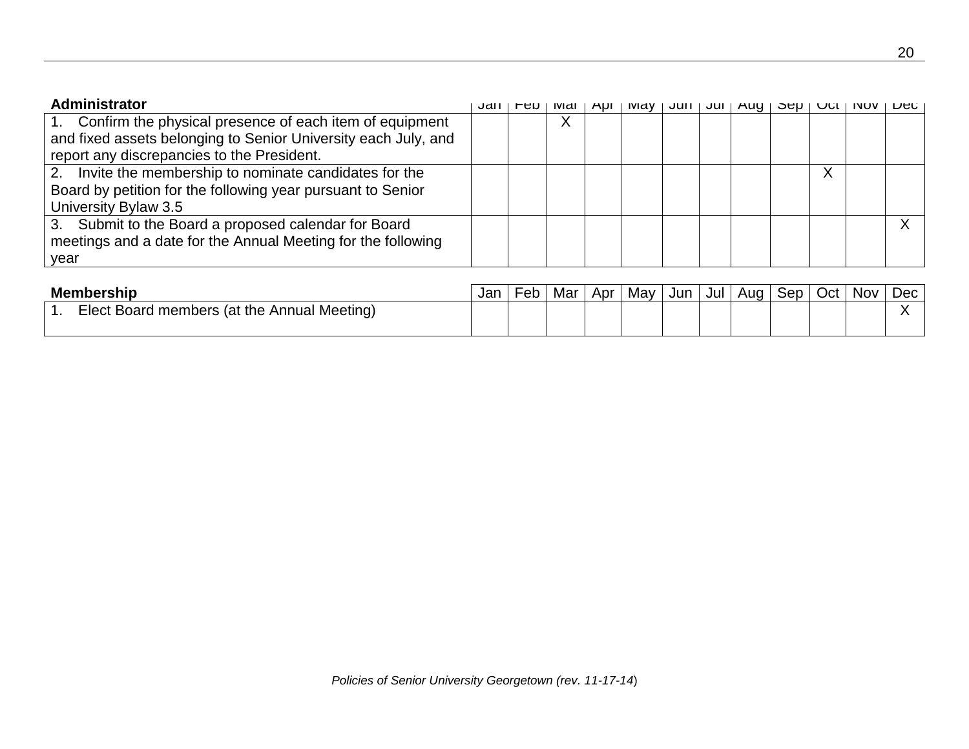| Administrator                                                  | JdH | ∙en | <b>IVIAI</b>      | <b>ADI</b> | <b>IVIAV</b> | Juli I | Jul | Aug L | OAN I | UUL | <b>INOV</b> | <b>DAC</b> |
|----------------------------------------------------------------|-----|-----|-------------------|------------|--------------|--------|-----|-------|-------|-----|-------------|------------|
| 1. Confirm the physical presence of each item of equipment     |     |     | $\checkmark$<br>∧ |            |              |        |     |       |       |     |             |            |
| and fixed assets belonging to Senior University each July, and |     |     |                   |            |              |        |     |       |       |     |             |            |
| report any discrepancies to the President.                     |     |     |                   |            |              |        |     |       |       |     |             |            |
| 2. Invite the membership to nominate candidates for the        |     |     |                   |            |              |        |     |       |       | ∧   |             |            |
| Board by petition for the following year pursuant to Senior    |     |     |                   |            |              |        |     |       |       |     |             |            |
| University Bylaw 3.5                                           |     |     |                   |            |              |        |     |       |       |     |             |            |
| 3. Submit to the Board a proposed calendar for Board           |     |     |                   |            |              |        |     |       |       |     |             |            |
| meetings and a date for the Annual Meeting for the following   |     |     |                   |            |              |        |     |       |       |     |             |            |
| year                                                           |     |     |                   |            |              |        |     |       |       |     |             |            |

| <b>Membership</b>                           | Jan | ⊦et | Mar | Apr | May | Jun | Jul | Aug I | Sep | Oct | Nov | <b>Dec</b> |
|---------------------------------------------|-----|-----|-----|-----|-----|-----|-----|-------|-----|-----|-----|------------|
| Elect Board members (at the Annual Meeting) |     |     |     |     |     |     |     |       |     |     |     |            |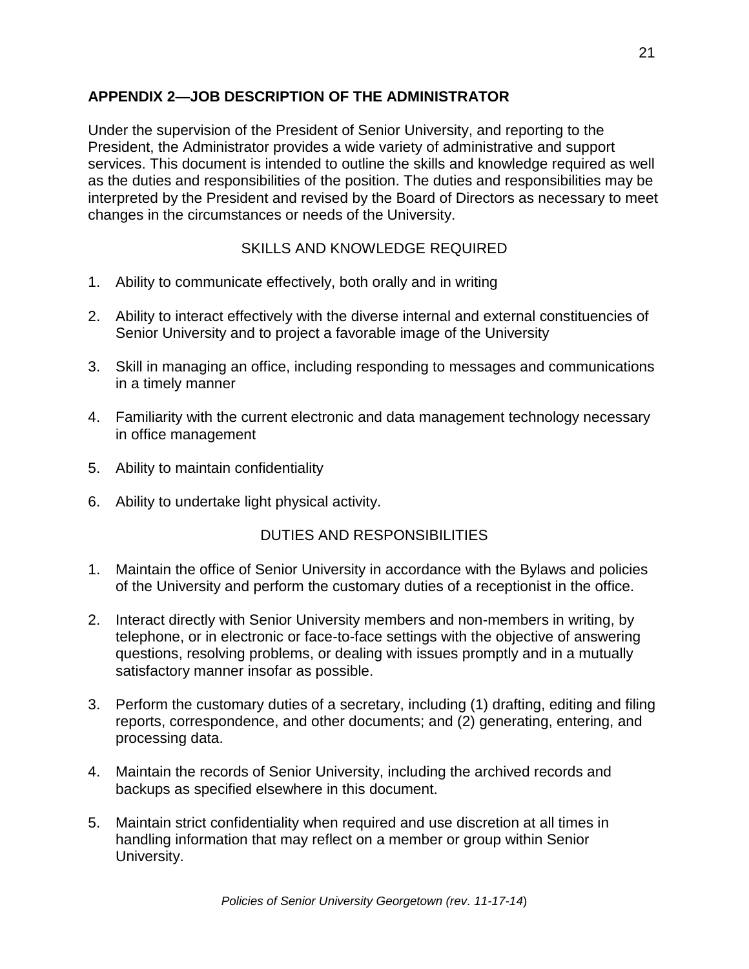# **APPENDIX 2—JOB DESCRIPTION OF THE ADMINISTRATOR**

Under the supervision of the President of Senior University, and reporting to the President, the Administrator provides a wide variety of administrative and support services. This document is intended to outline the skills and knowledge required as well as the duties and responsibilities of the position. The duties and responsibilities may be interpreted by the President and revised by the Board of Directors as necessary to meet changes in the circumstances or needs of the University.

# SKILLS AND KNOWLEDGE REQUIRED

- 1. Ability to communicate effectively, both orally and in writing
- 2. Ability to interact effectively with the diverse internal and external constituencies of Senior University and to project a favorable image of the University
- 3. Skill in managing an office, including responding to messages and communications in a timely manner
- 4. Familiarity with the current electronic and data management technology necessary in office management
- 5. Ability to maintain confidentiality
- 6. Ability to undertake light physical activity.

# DUTIES AND RESPONSIBILITIES

- 1. Maintain the office of Senior University in accordance with the Bylaws and policies of the University and perform the customary duties of a receptionist in the office.
- 2. Interact directly with Senior University members and non-members in writing, by telephone, or in electronic or face-to-face settings with the objective of answering questions, resolving problems, or dealing with issues promptly and in a mutually satisfactory manner insofar as possible.
- 3. Perform the customary duties of a secretary, including (1) drafting, editing and filing reports, correspondence, and other documents; and (2) generating, entering, and processing data.
- 4. Maintain the records of Senior University, including the archived records and backups as specified elsewhere in this document.
- 5. Maintain strict confidentiality when required and use discretion at all times in handling information that may reflect on a member or group within Senior University.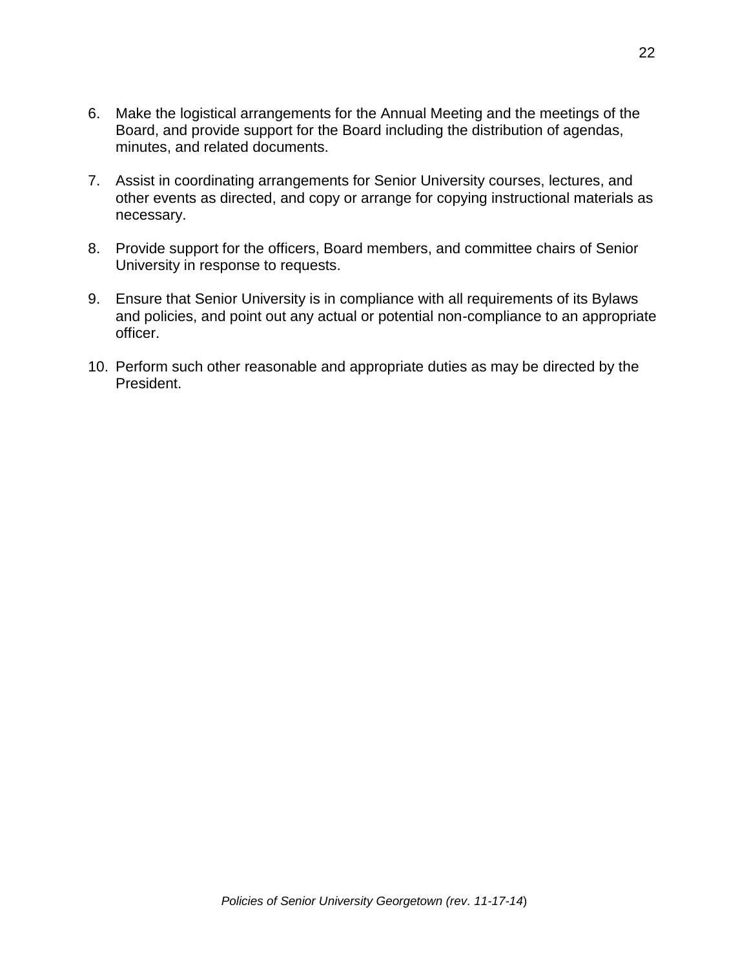- 6. Make the logistical arrangements for the Annual Meeting and the meetings of the Board, and provide support for the Board including the distribution of agendas, minutes, and related documents.
- 7. Assist in coordinating arrangements for Senior University courses, lectures, and other events as directed, and copy or arrange for copying instructional materials as necessary.
- 8. Provide support for the officers, Board members, and committee chairs of Senior University in response to requests.
- 9. Ensure that Senior University is in compliance with all requirements of its Bylaws and policies, and point out any actual or potential non-compliance to an appropriate officer.
- 10. Perform such other reasonable and appropriate duties as may be directed by the President.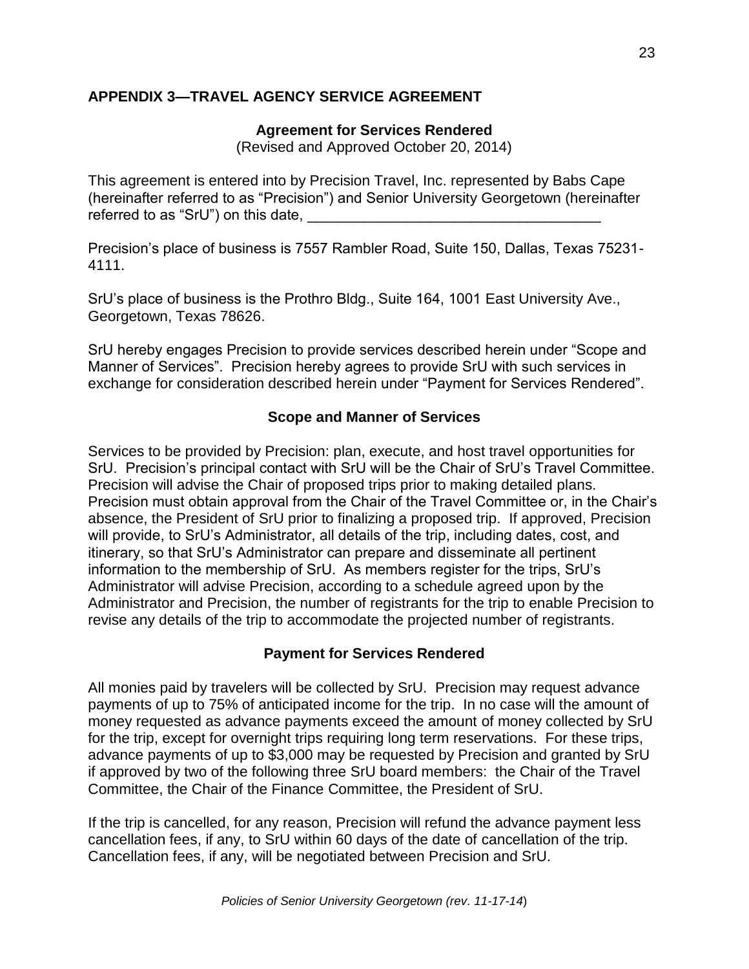# **APPENDIX 3—TRAVEL AGENCY SERVICE AGREEMENT**

### **Agreement for Services Rendered**

(Revised and Approved October 20, 2014)

This agreement is entered into by Precision Travel, Inc. represented by Babs Cape (hereinafter referred to as "Precision") and Senior University Georgetown (hereinafter referred to as "SrU") on this date,

Precision's place of business is 7557 Rambler Road, Suite 150, Dallas, Texas 75231- 4111.

SrU's place of business is the Prothro Bldg., Suite 164, 1001 East University Ave., Georgetown, Texas 78626.

SrU hereby engages Precision to provide services described herein under "Scope and Manner of Services". Precision hereby agrees to provide SrU with such services in exchange for consideration described herein under "Payment for Services Rendered".

# **Scope and Manner of Services**

Services to be provided by Precision: plan, execute, and host travel opportunities for SrU. Precision's principal contact with SrU will be the Chair of SrU's Travel Committee. Precision will advise the Chair of proposed trips prior to making detailed plans. Precision must obtain approval from the Chair of the Travel Committee or, in the Chair's absence, the President of SrU prior to finalizing a proposed trip. If approved, Precision will provide, to SrU's Administrator, all details of the trip, including dates, cost, and itinerary, so that SrU's Administrator can prepare and disseminate all pertinent information to the membership of SrU. As members register for the trips, SrU's Administrator will advise Precision, according to a schedule agreed upon by the Administrator and Precision, the number of registrants for the trip to enable Precision to revise any details of the trip to accommodate the projected number of registrants.

#### **Payment for Services Rendered**

All monies paid by travelers will be collected by SrU. Precision may request advance payments of up to 75% of anticipated income for the trip. In no case will the amount of money requested as advance payments exceed the amount of money collected by SrU for the trip, except for overnight trips requiring long term reservations. For these trips, advance payments of up to \$3,000 may be requested by Precision and granted by SrU if approved by two of the following three SrU board members: the Chair of the Travel Committee, the Chair of the Finance Committee, the President of SrU.

If the trip is cancelled, for any reason, Precision will refund the advance payment less cancellation fees, if any, to SrU within 60 days of the date of cancellation of the trip. Cancellation fees, if any, will be negotiated between Precision and SrU.